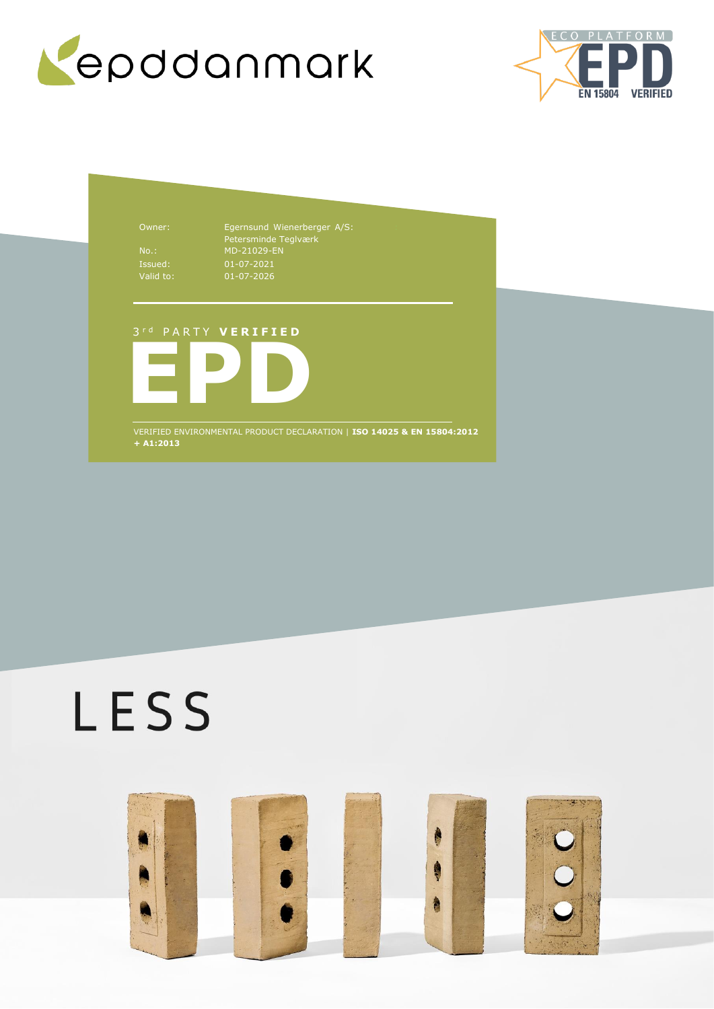



Owner: Egernsund Wienerberger A/S: Petersminde Teglværk No.: MD-21029-EN 01-07-2021 01-07-2026

# 3 r d P A R T Y **V E R I F I E D**



VERIFIED ENVIRONMENTAL PRODUCT DECLARATION | **ISO 14025 & EN 15804:2012 + A1:2013**

# LESS

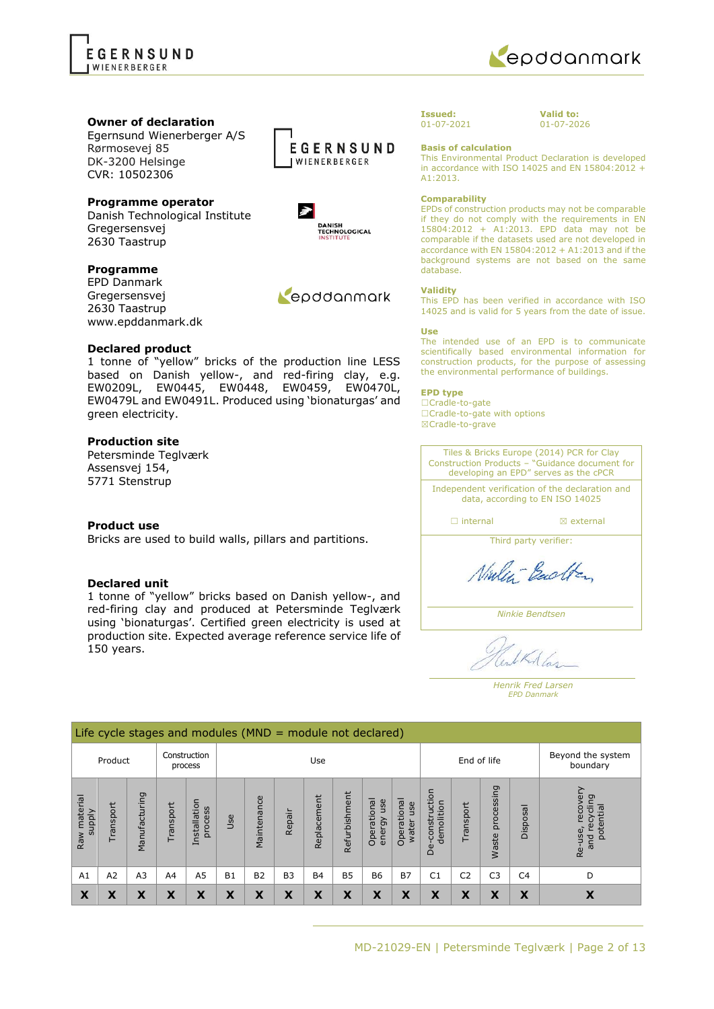



### **Owner of declaration**

Egernsund Wienerberger A/S Rørmosevej 85 DK-3200 Helsinge CVR: 10502306

# **Programme operator**

Danish Technological Institute Gregersensvej 2630 Taastrup

### **Programme**

EPD Danmark Gregersensvej 2630 Taastrup www.epddanmark.dk

#### **Declared product**

1 tonne of "yellow" bricks of the production line LESS based on Danish yellow-, and red-firing clay, e.g. EW0209L, EW0445, EW0448, EW0459, EW0470L, EW0479L and EW0491L. Produced using 'bionaturgas' and green electricity.

### **Production site**

Petersminde Teglværk Assensvej 154, 5771 Stenstrup

#### **Product use**

Bricks are used to build walls, pillars and partitions.

### **Declared unit**

1 tonne of "yellow" bricks based on Danish yellow-, and red-firing clay and produced at Petersminde Teglværk using 'bionaturgas'. Certified green electricity is used at production site. Expected average reference service life of 150 years.





Repodanmark

#### **Issued:** 01-07-2021

**Valid to:** 01-07-2026

**Basis of calculation**

This Environmental Product Declaration is developed in accordance with ISO 14025 and EN 15804:2012 + A1:2013.

#### **Comparability**

EPDs of construction products may not be comparable if they do not comply with the requirements in EN 15804:2012 + A1:2013. EPD data may not be comparable if the datasets used are not developed in accordance with EN 15804:2012 + A1:2013 and if the background systems are not based on the same database.

#### **Validity**

This EPD has been verified in accordance with ISO 14025 and is valid for 5 years from the date of issue.

#### **Use**

The intended use of an EPD is to communicate scientifically based environmental information for construction products, for the purpose of assessing the environmental performance of buildings.

#### **EPD type**

☐Cradle-to-gate ☐Cradle-to-gate with options ☒Cradle-to-grave

Tiles & Bricks Europe (2014) PCR for Clay Construction Products – "Guidance document for developing an EPD" serves as the cPCR

Independent verification of the declaration and data, according to EN ISO 14025

□ internal **I I** axternal

Third party verifier:

Ninley-Backton

*Ninkie Bendtsen*

IRA las

*Henrik Fred Larsen EPD Danmark*

|                               | Life cycle stages and modules ( $MND =$ module not declared) |                |          |                         |                    |             |           |             |               |                              |                             |                                            |                |                     |                |                                                                                 |
|-------------------------------|--------------------------------------------------------------|----------------|----------|-------------------------|--------------------|-------------|-----------|-------------|---------------|------------------------------|-----------------------------|--------------------------------------------|----------------|---------------------|----------------|---------------------------------------------------------------------------------|
|                               | Product                                                      |                |          | Construction<br>process | End of life<br>Use |             |           |             |               |                              |                             | Beyond the system<br>boundary              |                |                     |                |                                                                                 |
| Raw material<br><b>Alddns</b> | Transport                                                    | Manufacturing  | ransport | Installation<br>process | Jse                | Maintenance | Repair    | Replacement | Refurbishment | Operational<br>use<br>energy | Operational<br>use<br>water | uction<br>demolition<br>constr<br>eq<br>De | Transport      | processing<br>Waste | Disposal       | ≻<br>recove<br>recycling<br>potential<br>Re-use,<br>$\overline{E}$<br>$\bar{a}$ |
| A1                            | A <sub>2</sub>                                               | A <sub>3</sub> | A4       | A5                      | B <sub>1</sub>     | <b>B2</b>   | <b>B3</b> | <b>B4</b>   | <b>B5</b>     | <b>B6</b>                    | <b>B7</b>                   | C <sub>1</sub>                             | C <sub>2</sub> | C <sub>3</sub>      | C <sub>4</sub> | D                                                                               |
| X                             | X                                                            | X              | X        | X                       | X                  | X           | X         | X           | X             | X                            | X                           | X                                          | X              | Χ                   | X              | X                                                                               |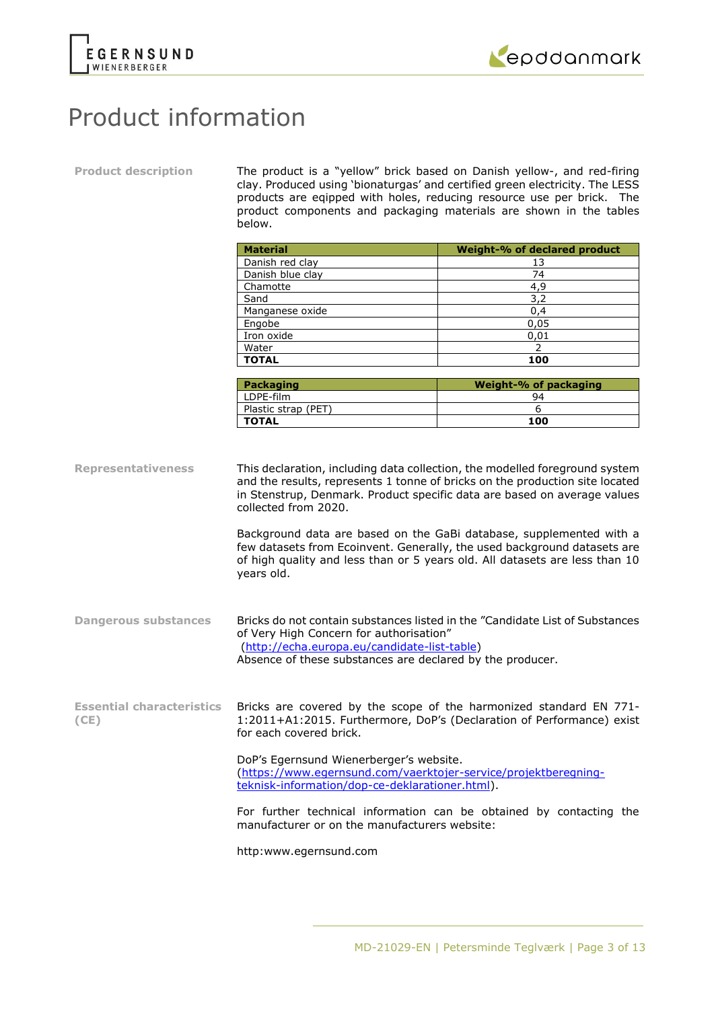



# Product information

**Product description** The product is a "yellow" brick based on Danish yellow-, and red-firing clay. Produced using 'bionaturgas' and certified green electricity. The LESS products are eqipped with holes, reducing resource use per brick. The product components and packaging materials are shown in the tables below.

|                           | <b>Material</b>                    | Weight-% of declared product                                                                                                                                                                                                                                                                                                                                                                                                                                              |
|---------------------------|------------------------------------|---------------------------------------------------------------------------------------------------------------------------------------------------------------------------------------------------------------------------------------------------------------------------------------------------------------------------------------------------------------------------------------------------------------------------------------------------------------------------|
|                           | Danish red clay                    | 13                                                                                                                                                                                                                                                                                                                                                                                                                                                                        |
|                           | Danish blue clay                   | 74                                                                                                                                                                                                                                                                                                                                                                                                                                                                        |
|                           | Chamotte                           | 4,9                                                                                                                                                                                                                                                                                                                                                                                                                                                                       |
|                           | Sand                               | 3,2                                                                                                                                                                                                                                                                                                                                                                                                                                                                       |
|                           | Manganese oxide                    | 0,4                                                                                                                                                                                                                                                                                                                                                                                                                                                                       |
|                           | Engobe                             | 0,05                                                                                                                                                                                                                                                                                                                                                                                                                                                                      |
|                           | Iron oxide                         | 0,01                                                                                                                                                                                                                                                                                                                                                                                                                                                                      |
|                           | Water                              | $\mathcal{P}$                                                                                                                                                                                                                                                                                                                                                                                                                                                             |
|                           | <b>TOTAL</b>                       | 100                                                                                                                                                                                                                                                                                                                                                                                                                                                                       |
|                           |                                    |                                                                                                                                                                                                                                                                                                                                                                                                                                                                           |
|                           | <b>Packaging</b>                   | <b>Weight-% of packaging</b>                                                                                                                                                                                                                                                                                                                                                                                                                                              |
|                           | LDPE-film                          | 94                                                                                                                                                                                                                                                                                                                                                                                                                                                                        |
|                           | Plastic strap (PET)                | 6                                                                                                                                                                                                                                                                                                                                                                                                                                                                         |
|                           | <b>TOTAL</b>                       | 100                                                                                                                                                                                                                                                                                                                                                                                                                                                                       |
| <b>Representativeness</b> | collected from 2020.<br>years old. | This declaration, including data collection, the modelled foreground system<br>and the results, represents 1 tonne of bricks on the production site located<br>in Stenstrup, Denmark. Product specific data are based on average values<br>Background data are based on the GaBi database, supplemented with a<br>few datasets from Ecoinvent. Generally, the used background datasets are<br>of high quality and less than or 5 years old. All datasets are less than 10 |
|                           |                                    |                                                                                                                                                                                                                                                                                                                                                                                                                                                                           |

- **Dangerous substances** Bricks do not contain substances listed in the "Candidate List of Substances of Very High Concern for authorisation" [\(http://echa.europa.eu/candidate-list-table\)](http://echa.europa.eu/candidate-list-table) Absence of these substances are declared by the producer.
- **Essential characteristics (CE)** Bricks are covered by the scope of the harmonized standard EN 771- 1:2011+A1:2015. Furthermore, DoP's (Declaration of Performance) exist for each covered brick.

DoP's Egernsund Wienerberger's website. [\(https://www.egernsund.com/vaerktojer-service/projektberegning](https://www.egernsund.com/vaerktojer-service/projektberegning-teknisk-information/dop-ce-deklarationer.html)[teknisk-information/dop-ce-deklarationer.html\)](https://www.egernsund.com/vaerktojer-service/projektberegning-teknisk-information/dop-ce-deklarationer.html).

For further technical information can be obtained by contacting the manufacturer or on the manufacturers website:

http:www.egernsund.com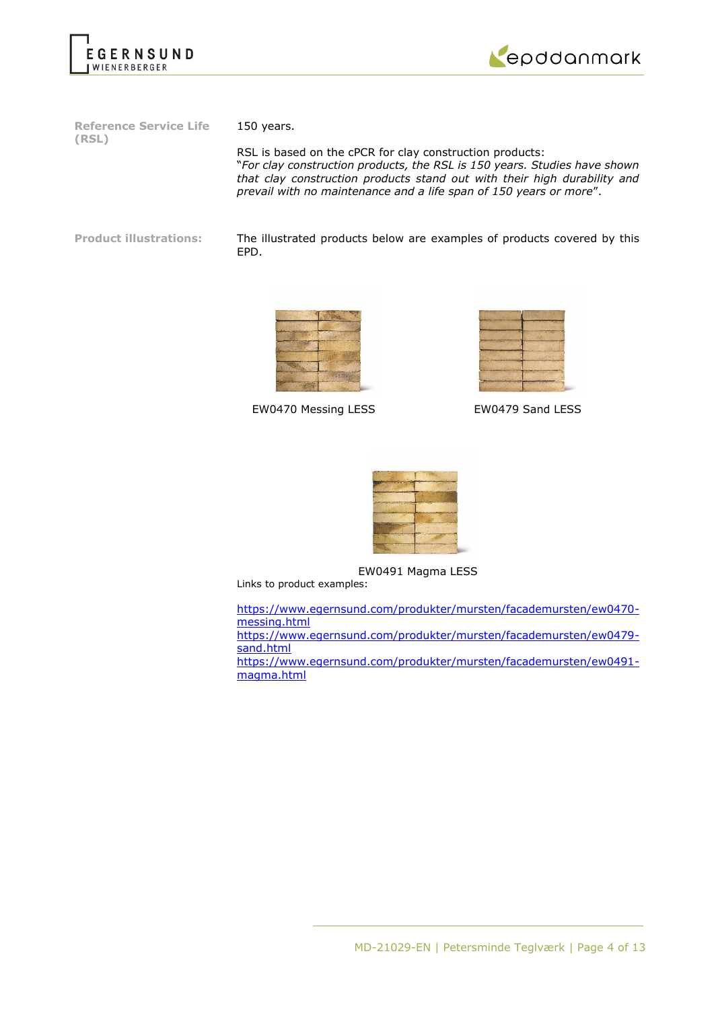



**Reference Service Life (RSL)**

150 years.

RSL is based on the cPCR for clay construction products: "*For clay construction products, the RSL is 150 years. Studies have shown that clay construction products stand out with their high durability and prevail with no maintenance and a life span of 150 years or more*".

**Product illustrations:** The illustrated products below are examples of products covered by this EPD.



EW0470 Messing LESS EW0479 Sand LESS

| $100 - 100$<br>۰ |  |
|------------------|--|



EW0491 Magma LESS

Links to product examples:

[https://www.egernsund.com/produkter/mursten/facademursten/ew0470](https://www.egernsund.com/produkter/mursten/facademursten/ew0470-messing.html) [messing.html](https://www.egernsund.com/produkter/mursten/facademursten/ew0470-messing.html)

[https://www.egernsund.com/produkter/mursten/facademursten/ew0479](https://www.egernsund.com/produkter/mursten/facademursten/ew0479-sand.html) [sand.html](https://www.egernsund.com/produkter/mursten/facademursten/ew0479-sand.html)

[https://www.egernsund.com/produkter/mursten/facademursten/ew0491](https://www.egernsund.com/produkter/mursten/facademursten/ew0491-magma.html) [magma.html](https://www.egernsund.com/produkter/mursten/facademursten/ew0491-magma.html)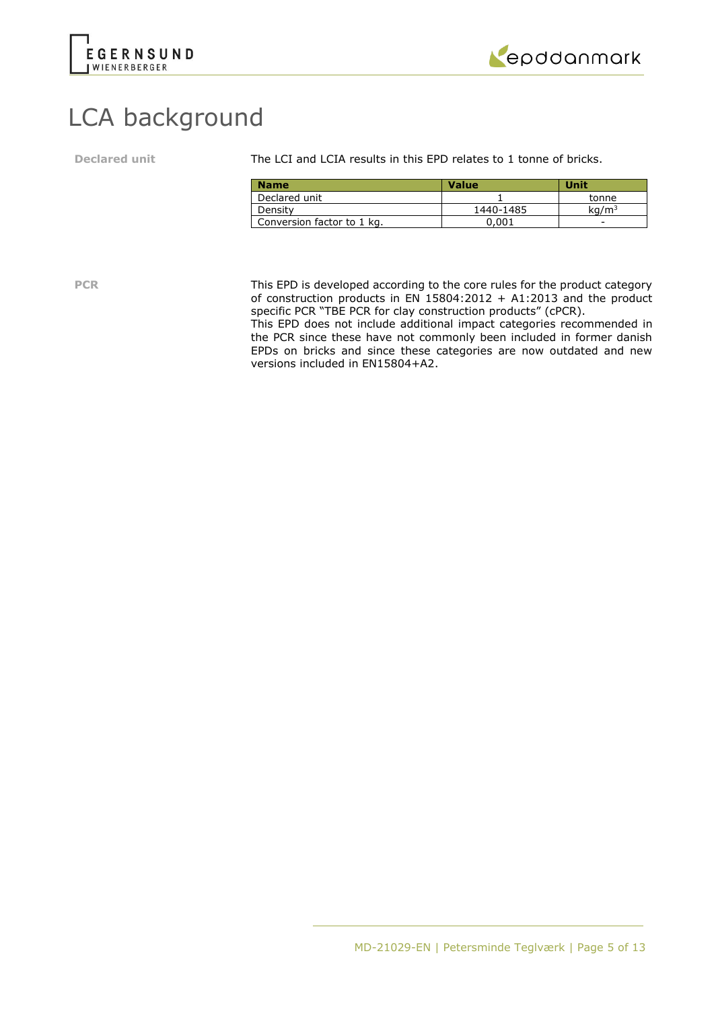



# LCA background

**Declared unit** The LCI and LCIA results in this EPD relates to 1 tonne of bricks.

| <b>Name</b>                | <b>Value</b> | Unit              |
|----------------------------|--------------|-------------------|
| Declared unit              |              | tonne             |
| Density                    | 1440-1485    | kq/m <sup>3</sup> |
| Conversion factor to 1 kg. | 0.001        | -                 |

**PCR** This EPD is developed according to the core rules for the product category of construction products in  $EN$  15804:2012 + A1:2013 and the product specific PCR "TBE PCR for clay construction products" (cPCR).

This EPD does not include additional impact categories recommended in the PCR since these have not commonly been included in former danish EPDs on bricks and since these categories are now outdated and new versions included in EN15804+A2.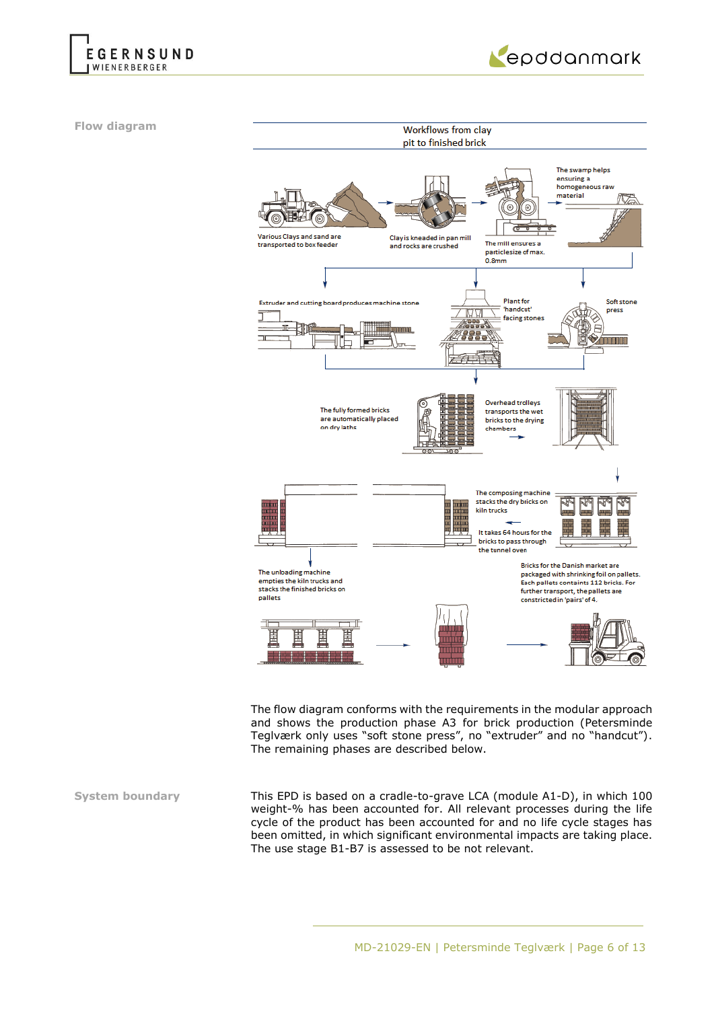



**Flow diagram**



The flow diagram conforms with the requirements in the modular approach and shows the production phase A3 for brick production (Petersminde Teglværk only uses "soft stone press", no "extruder" and no "handcut"). The remaining phases are described below.

**System boundary** This EPD is based on a cradle-to-grave LCA (module A1-D), in which 100 weight-% has been accounted for. All relevant processes during the life cycle of the product has been accounted for and no life cycle stages has been omitted, in which significant environmental impacts are taking place. The use stage B1-B7 is assessed to be not relevant.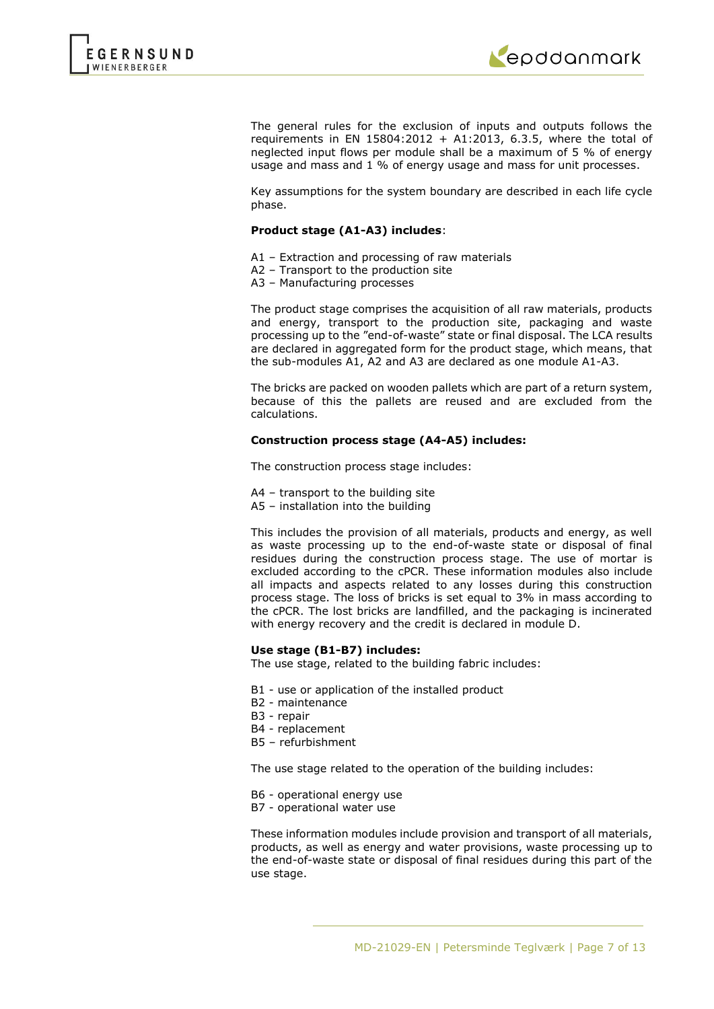



The general rules for the exclusion of inputs and outputs follows the requirements in EN 15804:2012 + A1:2013, 6.3.5, where the total of neglected input flows per module shall be a maximum of 5 % of energy usage and mass and 1 % of energy usage and mass for unit processes.

Key assumptions for the system boundary are described in each life cycle phase.

#### **Product stage (A1-A3) includes**:

- A1 Extraction and processing of raw materials
- A2 Transport to the production site
- A3 Manufacturing processes

The product stage comprises the acquisition of all raw materials, products and energy, transport to the production site, packaging and waste processing up to the "end-of-waste" state or final disposal. The LCA results are declared in aggregated form for the product stage, which means, that the sub-modules A1, A2 and A3 are declared as one module A1-A3.

The bricks are packed on wooden pallets which are part of a return system, because of this the pallets are reused and are excluded from the calculations.

### **Construction process stage (A4-A5) includes:**

The construction process stage includes:

- A4 transport to the building site
- A5 installation into the building

This includes the provision of all materials, products and energy, as well as waste processing up to the end-of-waste state or disposal of final residues during the construction process stage. The use of mortar is excluded according to the cPCR. These information modules also include all impacts and aspects related to any losses during this construction process stage. The loss of bricks is set equal to 3% in mass according to the cPCR. The lost bricks are landfilled, and the packaging is incinerated with energy recovery and the credit is declared in module D.

#### **Use stage (B1-B7) includes:**

The use stage, related to the building fabric includes:

- B1 use or application of the installed product
- B2 maintenance
- B3 repair
- B4 replacement
- B5 refurbishment

The use stage related to the operation of the building includes:

- B6 operational energy use
- B7 operational water use

These information modules include provision and transport of all materials, products, as well as energy and water provisions, waste processing up to the end-of-waste state or disposal of final residues during this part of the use stage.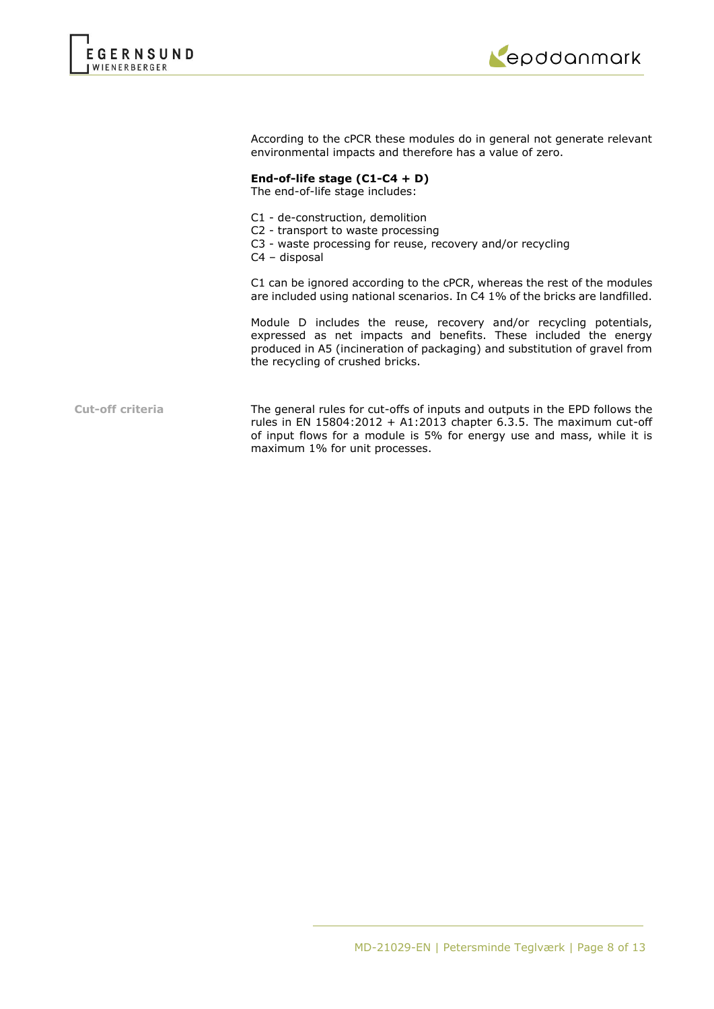



According to the cPCR these modules do in general not generate relevant environmental impacts and therefore has a value of zero.

# **End-of-life stage (C1-C4 + D)**

The end-of-life stage includes:

- C1 de-construction, demolition
- C2 transport to waste processing
- C3 waste processing for reuse, recovery and/or recycling
- C4 disposal

C1 can be ignored according to the cPCR, whereas the rest of the modules are included using national scenarios. In C4 1% of the bricks are landfilled.

Module D includes the reuse, recovery and/or recycling potentials, expressed as net impacts and benefits. These included the energy produced in A5 (incineration of packaging) and substitution of gravel from the recycling of crushed bricks.

**Cut-off criteria** The general rules for cut-offs of inputs and outputs in the EPD follows the rules in EN 15804:2012 + A1:2013 chapter 6.3.5. The maximum cut-off of input flows for a module is 5% for energy use and mass, while it is maximum 1% for unit processes.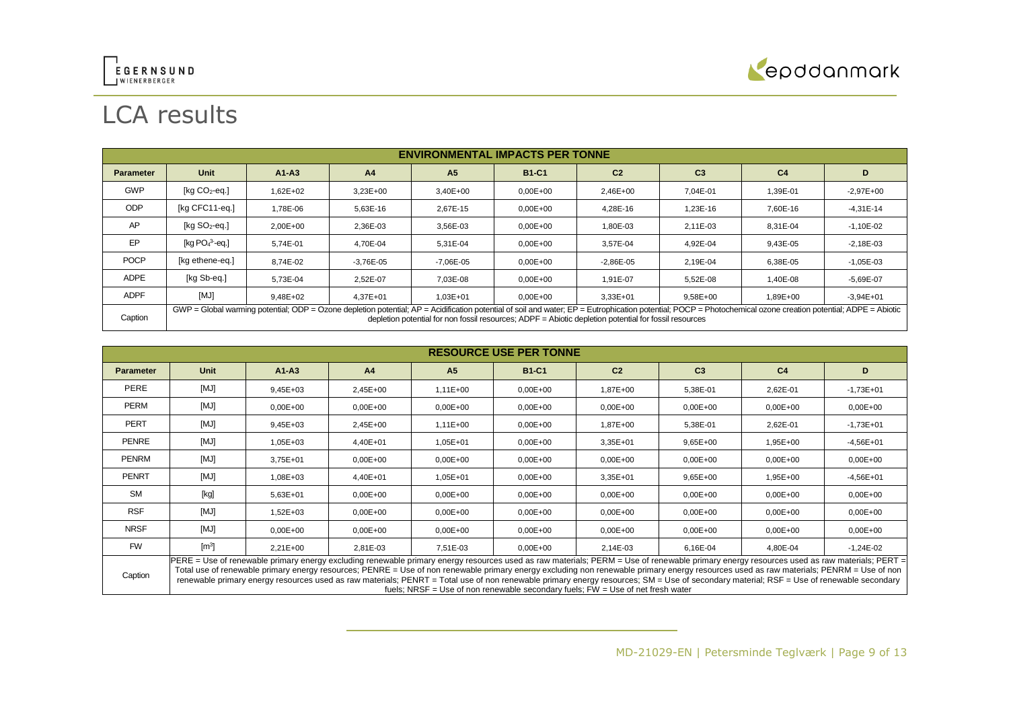



# LCA results

|                  | <b>ENVIRONMENTAL IMPACTS PER TONNE</b>                                                                                                                                                                                                                                                                                     |              |                |                |              |                |                |                |               |
|------------------|----------------------------------------------------------------------------------------------------------------------------------------------------------------------------------------------------------------------------------------------------------------------------------------------------------------------------|--------------|----------------|----------------|--------------|----------------|----------------|----------------|---------------|
| <b>Parameter</b> | <b>Unit</b>                                                                                                                                                                                                                                                                                                                | $A1 - A3$    | A <sub>4</sub> | A <sub>5</sub> | <b>B1-C1</b> | C <sub>2</sub> | C <sub>3</sub> | C <sub>4</sub> | D             |
| <b>GWP</b>       | [ $kg CO2$ -eq.]                                                                                                                                                                                                                                                                                                           | $1.62E + 02$ | $3.23E + 00$   | $3.40E + 00$   | $0,00E+00$   | 2,46E+00       | 7.04E-01       | 1,39E-01       | $-2,97E+00$   |
| <b>ODP</b>       | [kg CFC11-eq.]                                                                                                                                                                                                                                                                                                             | 1.78E-06     | 5.63E-16       | 2.67E-15       | $0,00E+00$   | 4.28E-16       | 1.23E-16       | 7,60E-16       | $-4,31E-14$   |
| AP               | [ $kg SO2$ -eq.]                                                                                                                                                                                                                                                                                                           | $2.00E + 00$ | 2,36E-03       | 3.56E-03       | $0,00E+00$   | 1,80E-03       | 2,11E-03       | 8,31E-04       | $-1,10E-02$   |
| EP               | [kg $PO43$ -eg.]                                                                                                                                                                                                                                                                                                           | 5.74E-01     | 4.70E-04       | 5.31E-04       | $0.00E + 00$ | 3.57E-04       | 4.92E-04       | 9.43E-05       | $-2,18E-03$   |
| <b>POCP</b>      | [kg ethene-eg.]                                                                                                                                                                                                                                                                                                            | 8.74E-02     | $-3.76E - 05$  | $-7.06E - 05$  | $0.00E + 00$ | $-2,86E-05$    | 2.19E-04       | 6,38E-05       | $-1,05E-03$   |
| <b>ADPE</b>      | [kg Sb-eq.]                                                                                                                                                                                                                                                                                                                | 5,73E-04     | 2,52E-07       | 7,03E-08       | $0,00E+00$   | 1,91E-07       | 5,52E-08       | 1,40E-08       | $-5,69E-07$   |
| <b>ADPF</b>      | [MJ]                                                                                                                                                                                                                                                                                                                       | $9.48E + 02$ | $4.37E + 01$   | 1,03E+01       | $0.00E + 00$ | $3.33E + 01$   | 9,58E+00       | 1,89E+00       | $-3.94E + 01$ |
| Caption          | $GWP = Global$ warming potential; ODP = Ozone depletion potential; AP = Acidification potential of soil and water; EP = Eutrophication potential; POCP = Photochemical ozone creation potential; ADPE = Abiotic<br>depletion potential for non fossil resources: $ADPF = Abiotic$ depletion potential for fossil resources |              |                |                |              |                |                |                |               |

|                                                                                                                                                                                                                                                                                                                                                                                                                                                                                                                                                                                                                                                                                 | <b>RESOURCE USE PER TONNE</b> |              |                |                |              |                |                |                |              |
|---------------------------------------------------------------------------------------------------------------------------------------------------------------------------------------------------------------------------------------------------------------------------------------------------------------------------------------------------------------------------------------------------------------------------------------------------------------------------------------------------------------------------------------------------------------------------------------------------------------------------------------------------------------------------------|-------------------------------|--------------|----------------|----------------|--------------|----------------|----------------|----------------|--------------|
| <b>Parameter</b>                                                                                                                                                                                                                                                                                                                                                                                                                                                                                                                                                                                                                                                                | Unit                          | $A1-A3$      | A <sub>4</sub> | A <sub>5</sub> | <b>B1-C1</b> | C <sub>2</sub> | C <sub>3</sub> | C <sub>4</sub> | D            |
| PERE                                                                                                                                                                                                                                                                                                                                                                                                                                                                                                                                                                                                                                                                            | [MJ]                          | $9,45E+03$   | 2,45E+00       | $1,11E+00$     | $0,00E+00$   | 1,87E+00       | 5,38E-01       | 2,62E-01       | $-1,73E+01$  |
| <b>PERM</b>                                                                                                                                                                                                                                                                                                                                                                                                                                                                                                                                                                                                                                                                     | [MJ]                          | $0,00E+00$   | $0.00E + 00$   | $0,00E+00$     | $0,00E+00$   | $0,00E+00$     | $0,00E + 00$   | $0,00E + 00$   | $0,00E+00$   |
| <b>PERT</b>                                                                                                                                                                                                                                                                                                                                                                                                                                                                                                                                                                                                                                                                     | [MJ]                          | $9,45E+03$   | 2,45E+00       | $1,11E+00$     | $0.00E + 00$ | 1,87E+00       | 5,38E-01       | 2,62E-01       | $-1,73E+01$  |
| <b>PENRE</b>                                                                                                                                                                                                                                                                                                                                                                                                                                                                                                                                                                                                                                                                    | [MJ]                          | $1,05E+03$   | 4.40E+01       | $1,05E+01$     | $0,00E+00$   | $3,35E+01$     | $9,65E+00$     | 1,95E+00       | $-4,56E+01$  |
| PENRM                                                                                                                                                                                                                                                                                                                                                                                                                                                                                                                                                                                                                                                                           | [MJ]                          | $3,75E+01$   | $0.00E + 00$   | $0.00E + 00$   | $0,00E+00$   | $0,00E+00$     | $0,00E + 00$   | $0,00E + 00$   | $0,00E+00$   |
| PENRT                                                                                                                                                                                                                                                                                                                                                                                                                                                                                                                                                                                                                                                                           | [MJ]                          | 1,08E+03     | 4,40E+01       | $1,05E+01$     | $0,00E+00$   | $3,35E+01$     | $9,65E+00$     | 1,95E+00       | $-4,56E+01$  |
| <b>SM</b>                                                                                                                                                                                                                                                                                                                                                                                                                                                                                                                                                                                                                                                                       | [kg]                          | $5,63E+01$   | $0.00E + 00$   | $0.00E + 00$   | $0,00E+00$   | $0,00E+00$     | $0,00E + 00$   | $0,00E + 00$   | $0,00E+00$   |
| <b>RSF</b>                                                                                                                                                                                                                                                                                                                                                                                                                                                                                                                                                                                                                                                                      | [MJ]                          | 1,52E+03     | $0.00E + 00$   | $0.00E + 00$   | $0.00E + 00$ | $0,00E+00$     | $0,00E + 00$   | $0,00E + 00$   | $0,00E + 00$ |
| <b>NRSF</b>                                                                                                                                                                                                                                                                                                                                                                                                                                                                                                                                                                                                                                                                     | [MJ]                          | $0.00E + 00$ | $0.00E + 00$   | $0.00E + 00$   | $0,00E+00$   | $0,00E+00$     | $0,00E + 00$   | $0,00E + 00$   | $0,00E+00$   |
| <b>FW</b>                                                                                                                                                                                                                                                                                                                                                                                                                                                                                                                                                                                                                                                                       | $\text{[m}^3$                 | $2,21E+00$   | 2,81E-03       | 7,51E-03       | $0,00E+00$   | 2,14E-03       | 6,16E-04       | 4,80E-04       | $-1,24E-02$  |
| PERE = Use of renewable primary energy excluding renewable primary energy resources used as raw materials; PERM = Use of renewable primary energy resources used as raw materials; PERT =<br>Total use of renewable primary energy resources; PENRE = Use of non renewable primary energy excluding non renewable primary energy resources used as raw materials; PENRM = Use of non<br>Caption<br>renewable primary energy resources used as raw materials; PENRT = Total use of non renewable primary energy resources; SM = Use of secondary material; RSF = Use of renewable secondary<br>fuels; NRSF = Use of non renewable secondary fuels; $FW = Use$ of net fresh water |                               |              |                |                |              |                |                |                |              |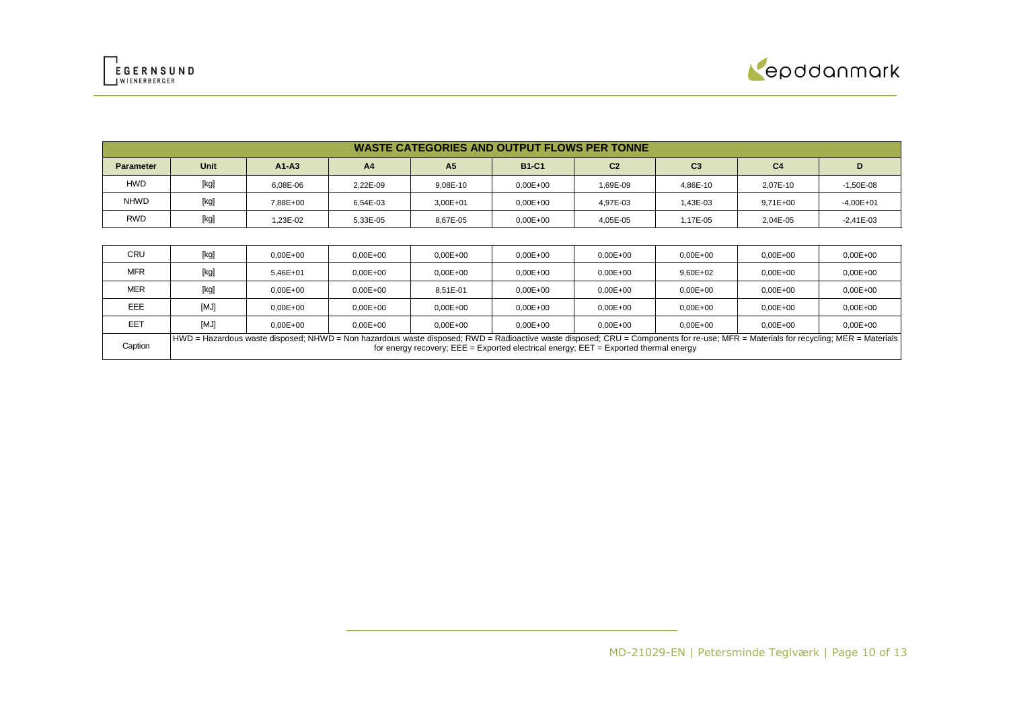



|                  | <b>WASTE CATEGORIES AND OUTPUT FLOWS PER TONNE</b> |          |                |                |              |                |                |                |             |
|------------------|----------------------------------------------------|----------|----------------|----------------|--------------|----------------|----------------|----------------|-------------|
| <b>Parameter</b> | Unit                                               | $A1-A3$  | A <sub>4</sub> | A <sub>5</sub> | <b>B1-C1</b> | C <sub>2</sub> | C <sub>3</sub> | C <sub>4</sub> |             |
| <b>HWD</b>       | [kg]                                               | 6.08E-06 | 2.22E-09       | 9.08E-10       | $0,00E+00$   | 1.69E-09       | 4.86E-10       | 2.07E-10       | $-1,50E-08$ |
| <b>NHWD</b>      | [kg]                                               | 7.88E+00 | 6.54E-03       | $3,00E + 01$   | $0,00E+00$   | 4.97E-03       | 1,43E-03       | $9,71E+00$     | $-4,00E+01$ |
| <b>RWD</b>       | [kg]                                               | 1.23E-02 | 5,33E-05       | 8.67E-05       | $0.00E + 00$ | 4.05E-05       | 1,17E-05       | 2.04E-05       | $-2,41E-03$ |

| <b>MER</b> | [kg] | $0.00E + 00$                                                                                                                                                                       | $0.00E + 00$ | 8.51E-01     | $0.00E + 00$ | $0,00E + 00$                                                                              | $0,00E+00$   | $0.00E + 00$ | $0.00E + 00$ |
|------------|------|------------------------------------------------------------------------------------------------------------------------------------------------------------------------------------|--------------|--------------|--------------|-------------------------------------------------------------------------------------------|--------------|--------------|--------------|
| EEE        | [MJ] | $0.00E + 00$                                                                                                                                                                       | $0.00E + 00$ | $0.00E + 00$ | $0.00E + 00$ | $0.00E + 00$                                                                              | $0.00E + 00$ | $0.00E + 00$ | $0.00E + 00$ |
| EET        | [MJ] | $0.00E + 00$                                                                                                                                                                       | $0.00E + 00$ | $0.00E + 00$ | $0.00E + 00$ | $0.00E + 00$                                                                              | $0.00E + 00$ | $0.00E + 00$ | $0.00E + 00$ |
| Caption    |      | HWD = Hazardous waste disposed; NHWD = Non hazardous waste disposed; RWD = Radioactive waste disposed; CRU = Components for re-use; MFR = Materials for recycling; MER = Materials |              |              |              | for energy recovery; $EEE = Exported electrical energy$ ; $EET = Exported thermal energy$ |              |              |              |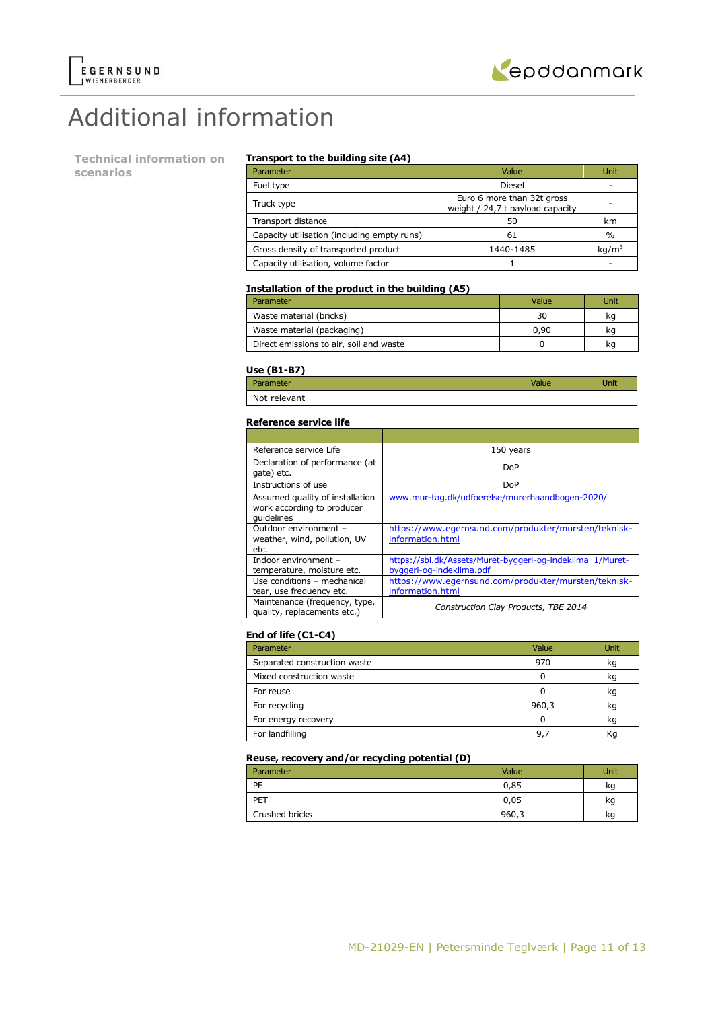



# Additional information

**Technical information on scenarios**

#### **Transport to the building site (A4)**

| Parameter                                   | Value                                                          | Unit              |
|---------------------------------------------|----------------------------------------------------------------|-------------------|
| Fuel type                                   | Diesel                                                         |                   |
| Truck type                                  | Euro 6 more than 32t gross<br>weight / 24,7 t payload capacity |                   |
| Transport distance                          | 50                                                             | km                |
| Capacity utilisation (including empty runs) | 61                                                             | $\%$              |
| Gross density of transported product        | 1440-1485                                                      | kg/m <sup>3</sup> |
| Capacity utilisation, volume factor         |                                                                |                   |

#### **Installation of the product in the building (A5)**

| Parameter                               | Value | Unit |
|-----------------------------------------|-------|------|
| Waste material (bricks)                 | 30    | ka   |
| Waste material (packaging)              | 0.90  | kq   |
| Direct emissions to air, soil and waste |       | kq   |

#### **Use (B1-B7)**

| - - -<br>Parameter | Jnit |
|--------------------|------|
| Not relevant       |      |

#### **Reference service life**

| Reference service Life                                                      | 150 years                                                                             |
|-----------------------------------------------------------------------------|---------------------------------------------------------------------------------------|
| Declaration of performance (at<br>gate) etc.                                | DoP                                                                                   |
| Instructions of use                                                         | DoP                                                                                   |
| Assumed quality of installation<br>work according to producer<br>quidelines | www.mur-tag.dk/udfoerelse/murerhaandbogen-2020/                                       |
| Outdoor environment -<br>weather, wind, pollution, UV<br>etc.               | https://www.egernsund.com/produkter/mursten/teknisk-<br>information.html              |
| Indoor environment -<br>temperature, moisture etc.                          | https://sbi.dk/Assets/Muret-byggeri-og-indeklima 1/Muret-<br>byggeri-og-indeklima.pdf |
| Use conditions - mechanical<br>tear, use frequency etc.                     | https://www.egernsund.com/produkter/mursten/teknisk-<br>information.html              |
| Maintenance (frequency, type,<br>quality, replacements etc.)                | Construction Clay Products, TBE 2014                                                  |

#### **End of life (C1-C4)**

| Parameter                    | Value | Unit |
|------------------------------|-------|------|
| Separated construction waste | 970   | kg   |
| Mixed construction waste     |       | kg   |
| For reuse                    |       | kg   |
| For recycling                | 960,3 | kg   |
| For energy recovery          |       | kg   |
| For landfilling              | 9.    | Κq   |

### **Reuse, recovery and/or recycling potential (D)**

| Parameter      | Value | Unit |
|----------------|-------|------|
| PE             | 0,85  | kq   |
| PET            | 0,05  | kg   |
| Crushed bricks | 960,3 | kg   |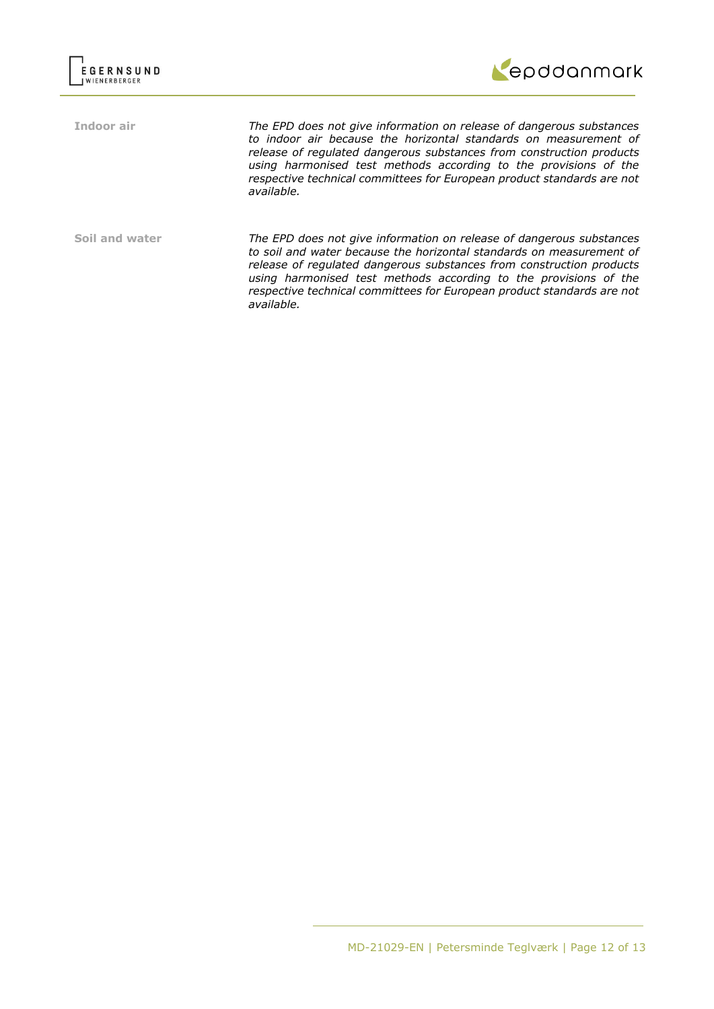

**Indoor air** *The EPD does not give information on release of dangerous substances to indoor air because the horizontal standards on measurement of release of regulated dangerous substances from construction products using harmonised test methods according to the provisions of the respective technical committees for European product standards are not available.*

**Soil and water** *The EPD does not give information on release of dangerous substances to soil and water because the horizontal standards on measurement of release of regulated dangerous substances from construction products using harmonised test methods according to the provisions of the respective technical committees for European product standards are not available.*